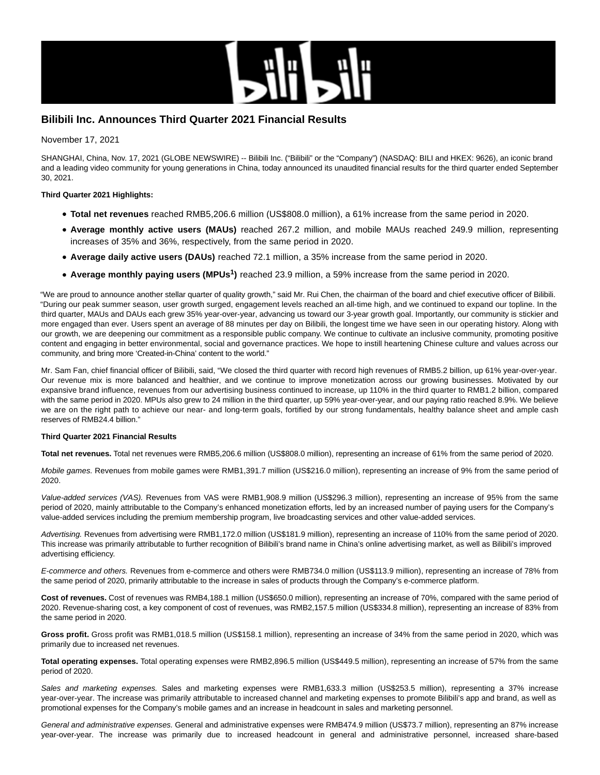

# **Bilibili Inc. Announces Third Quarter 2021 Financial Results**

November 17, 2021

SHANGHAI, China, Nov. 17, 2021 (GLOBE NEWSWIRE) -- Bilibili Inc. ("Bilibili" or the "Company") (NASDAQ: BILI and HKEX: 9626), an iconic brand and a leading video community for young generations in China, today announced its unaudited financial results for the third quarter ended September 30, 2021.

### **Third Quarter 2021 Highlights:**

- **Total net revenues** reached RMB5,206.6 million (US\$808.0 million), a 61% increase from the same period in 2020.
- **Average monthly active users (MAUs)** reached 267.2 million, and mobile MAUs reached 249.9 million, representing increases of 35% and 36%, respectively, from the same period in 2020.
- **Average daily active users (DAUs)** reached 72.1 million, a 35% increase from the same period in 2020.
- **Average monthly paying users (MPUs<sup>1</sup> )** reached 23.9 million, a 59% increase from the same period in 2020.

"We are proud to announce another stellar quarter of quality growth," said Mr. Rui Chen, the chairman of the board and chief executive officer of Bilibili. "During our peak summer season, user growth surged, engagement levels reached an all-time high, and we continued to expand our topline. In the third quarter, MAUs and DAUs each grew 35% year-over-year, advancing us toward our 3-year growth goal. Importantly, our community is stickier and more engaged than ever. Users spent an average of 88 minutes per day on Bilibili, the longest time we have seen in our operating history. Along with our growth, we are deepening our commitment as a responsible public company. We continue to cultivate an inclusive community, promoting positive content and engaging in better environmental, social and governance practices. We hope to instill heartening Chinese culture and values across our community, and bring more 'Created-in-China' content to the world."

Mr. Sam Fan, chief financial officer of Bilibili, said, "We closed the third quarter with record high revenues of RMB5.2 billion, up 61% year-over-year. Our revenue mix is more balanced and healthier, and we continue to improve monetization across our growing businesses. Motivated by our expansive brand influence, revenues from our advertising business continued to increase, up 110% in the third quarter to RMB1.2 billion, compared with the same period in 2020. MPUs also grew to 24 million in the third quarter, up 59% year-over-year, and our paying ratio reached 8.9%. We believe we are on the right path to achieve our near- and long-term goals, fortified by our strong fundamentals, healthy balance sheet and ample cash reserves of RMB24.4 billion."

### **Third Quarter 2021 Financial Results**

**Total net revenues.** Total net revenues were RMB5,206.6 million (US\$808.0 million), representing an increase of 61% from the same period of 2020.

Mobile games. Revenues from mobile games were RMB1,391.7 million (US\$216.0 million), representing an increase of 9% from the same period of 2020.

Value-added services (VAS). Revenues from VAS were RMB1,908.9 million (US\$296.3 million), representing an increase of 95% from the same period of 2020, mainly attributable to the Company's enhanced monetization efforts, led by an increased number of paying users for the Company's value-added services including the premium membership program, live broadcasting services and other value-added services.

Advertising. Revenues from advertising were RMB1,172.0 million (US\$181.9 million), representing an increase of 110% from the same period of 2020. This increase was primarily attributable to further recognition of Bilibili's brand name in China's online advertising market, as well as Bilibili's improved advertising efficiency.

E-commerce and others. Revenues from e-commerce and others were RMB734.0 million (US\$113.9 million), representing an increase of 78% from the same period of 2020, primarily attributable to the increase in sales of products through the Company's e-commerce platform.

**Cost of revenues.** Cost of revenues was RMB4,188.1 million (US\$650.0 million), representing an increase of 70%, compared with the same period of 2020. Revenue-sharing cost, a key component of cost of revenues, was RMB2,157.5 million (US\$334.8 million), representing an increase of 83% from the same period in 2020.

**Gross profit.** Gross profit was RMB1,018.5 million (US\$158.1 million), representing an increase of 34% from the same period in 2020, which was primarily due to increased net revenues.

**Total operating expenses.** Total operating expenses were RMB2,896.5 million (US\$449.5 million), representing an increase of 57% from the same period of 2020.

Sales and marketing expenses. Sales and marketing expenses were RMB1,633.3 million (US\$253.5 million), representing a 37% increase year-over-year. The increase was primarily attributable to increased channel and marketing expenses to promote Bilibili's app and brand, as well as promotional expenses for the Company's mobile games and an increase in headcount in sales and marketing personnel.

General and administrative expenses. General and administrative expenses were RMB474.9 million (US\$73.7 million), representing an 87% increase year-over-year. The increase was primarily due to increased headcount in general and administrative personnel, increased share-based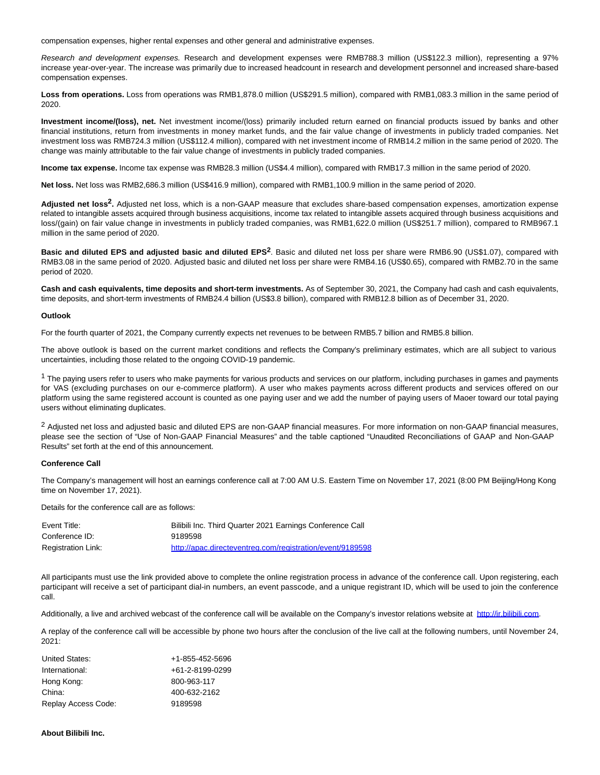compensation expenses, higher rental expenses and other general and administrative expenses.

Research and development expenses. Research and development expenses were RMB788.3 million (US\$122.3 million), representing a 97% increase year-over-year. The increase was primarily due to increased headcount in research and development personnel and increased share-based compensation expenses.

**Loss from operations.** Loss from operations was RMB1,878.0 million (US\$291.5 million), compared with RMB1,083.3 million in the same period of 2020.

**Investment income/(loss), net.** Net investment income/(loss) primarily included return earned on financial products issued by banks and other financial institutions, return from investments in money market funds, and the fair value change of investments in publicly traded companies. Net investment loss was RMB724.3 million (US\$112.4 million), compared with net investment income of RMB14.2 million in the same period of 2020. The change was mainly attributable to the fair value change of investments in publicly traded companies.

**Income tax expense.** Income tax expense was RMB28.3 million (US\$4.4 million), compared with RMB17.3 million in the same period of 2020.

**Net loss.** Net loss was RMB2,686.3 million (US\$416.9 million), compared with RMB1,100.9 million in the same period of 2020.

**Adjusted net loss2.** Adjusted net loss, which is a non-GAAP measure that excludes share-based compensation expenses, amortization expense related to intangible assets acquired through business acquisitions, income tax related to intangible assets acquired through business acquisitions and loss/(gain) on fair value change in investments in publicly traded companies, was RMB1,622.0 million (US\$251.7 million), compared to RMB967.1 million in the same period of 2020.

**Basic and diluted EPS and adjusted basic and diluted EPS2**. Basic and diluted net loss per share were RMB6.90 (US\$1.07), compared with RMB3.08 in the same period of 2020. Adjusted basic and diluted net loss per share were RMB4.16 (US\$0.65), compared with RMB2.70 in the same period of 2020.

**Cash and cash equivalents, time deposits and short-term investments.** As of September 30, 2021, the Company had cash and cash equivalents, time deposits, and short-term investments of RMB24.4 billion (US\$3.8 billion), compared with RMB12.8 billion as of December 31, 2020.

#### **Outlook**

For the fourth quarter of 2021, the Company currently expects net revenues to be between RMB5.7 billion and RMB5.8 billion.

The above outlook is based on the current market conditions and reflects the Company's preliminary estimates, which are all subject to various uncertainties, including those related to the ongoing COVID-19 pandemic.

 $1$  The paying users refer to users who make payments for various products and services on our platform, including purchases in games and payments for VAS (excluding purchases on our e-commerce platform). A user who makes payments across different products and services offered on our platform using the same registered account is counted as one paying user and we add the number of paying users of Maoer toward our total paying users without eliminating duplicates.

<sup>2</sup> Adjusted net loss and adjusted basic and diluted EPS are non-GAAP financial measures. For more information on non-GAAP financial measures, please see the section of "Use of Non-GAAP Financial Measures" and the table captioned "Unaudited Reconciliations of GAAP and Non-GAAP Results" set forth at the end of this announcement.

### **Conference Call**

The Company's management will host an earnings conference call at 7:00 AM U.S. Eastern Time on November 17, 2021 (8:00 PM Beijing/Hong Kong time on November 17, 2021).

Details for the conference call are as follows:

| Event Title:              | Bilibili Inc. Third Quarter 2021 Earnings Conference Call |
|---------------------------|-----------------------------------------------------------|
| Conference ID:            | 9189598                                                   |
| <b>Registration Link:</b> | http://apac.directeventreg.com/registration/event/9189598 |

All participants must use the link provided above to complete the online registration process in advance of the conference call. Upon registering, each participant will receive a set of participant dial-in numbers, an event passcode, and a unique registrant ID, which will be used to join the conference call.

Additionally, a live and archived webcast of the conference call will be available on the Company's investor relations website at [http://ir.bilibili.com.](https://www.globenewswire.com/Tracker?data=kottSUp0w1q1K-NwIrHYFCA1wmsY_DmeWalhxbkq5q2TE9eepC9-5vmD0EiIvMjXxZMoHIbOUqw1kV9HaujR2o0i5x7tWLxWCwj0QI-kCHI=)

A replay of the conference call will be accessible by phone two hours after the conclusion of the live call at the following numbers, until November 24, 2021:

| United States:      | $+1 - 855 - 452 - 5696$ |
|---------------------|-------------------------|
| International:      | $+61 - 2 - 8199 - 0299$ |
| Hong Kong:          | 800-963-117             |
| China:              | 400-632-2162            |
| Replay Access Code: | 9189598                 |

#### **About Bilibili Inc.**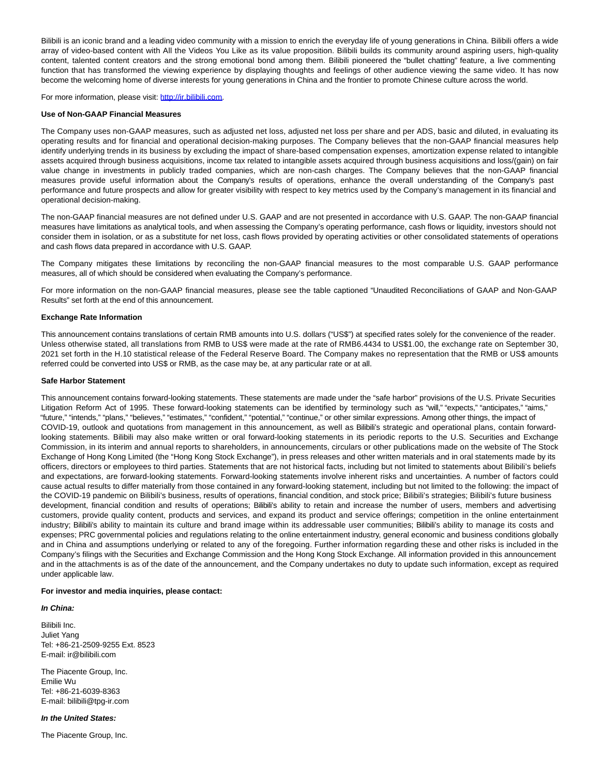Bilibili is an iconic brand and a leading video community with a mission to enrich the everyday life of young generations in China. Bilibili offers a wide array of video-based content with All the Videos You Like as its value proposition. Bilibili builds its community around aspiring users, high-quality content, talented content creators and the strong emotional bond among them. Bilibili pioneered the "bullet chatting" feature, a live commenting function that has transformed the viewing experience by displaying thoughts and feelings of other audience viewing the same video. It has now become the welcoming home of diverse interests for young generations in China and the frontier to promote Chinese culture across the world.

For more information, please visit: [http://ir.bilibili.com.](https://www.globenewswire.com/Tracker?data=kottSUp0w1q1K-NwIrHYFCA1wmsY_DmeWalhxbkq5q0kII5QFFLekR3Q9Hz10eLz9IgOei0qG7zzarXsYpLISTGNcoNYCH6-ijHI0n-pm8c=)

#### **Use of Non-GAAP Financial Measures**

The Company uses non-GAAP measures, such as adjusted net loss, adjusted net loss per share and per ADS, basic and diluted, in evaluating its operating results and for financial and operational decision-making purposes. The Company believes that the non-GAAP financial measures help identify underlying trends in its business by excluding the impact of share-based compensation expenses, amortization expense related to intangible assets acquired through business acquisitions, income tax related to intangible assets acquired through business acquisitions and loss/(gain) on fair value change in investments in publicly traded companies, which are non-cash charges. The Company believes that the non-GAAP financial measures provide useful information about the Company's results of operations, enhance the overall understanding of the Company's past performance and future prospects and allow for greater visibility with respect to key metrics used by the Company's management in its financial and operational decision-making.

The non-GAAP financial measures are not defined under U.S. GAAP and are not presented in accordance with U.S. GAAP. The non-GAAP financial measures have limitations as analytical tools, and when assessing the Company's operating performance, cash flows or liquidity, investors should not consider them in isolation, or as a substitute for net loss, cash flows provided by operating activities or other consolidated statements of operations and cash flows data prepared in accordance with U.S. GAAP.

The Company mitigates these limitations by reconciling the non-GAAP financial measures to the most comparable U.S. GAAP performance measures, all of which should be considered when evaluating the Company's performance.

For more information on the non-GAAP financial measures, please see the table captioned "Unaudited Reconciliations of GAAP and Non-GAAP Results" set forth at the end of this announcement.

#### **Exchange Rate Information**

This announcement contains translations of certain RMB amounts into U.S. dollars ("US\$") at specified rates solely for the convenience of the reader. Unless otherwise stated, all translations from RMB to US\$ were made at the rate of RMB6.4434 to US\$1.00, the exchange rate on September 30, 2021 set forth in the H.10 statistical release of the Federal Reserve Board. The Company makes no representation that the RMB or US\$ amounts referred could be converted into US\$ or RMB, as the case may be, at any particular rate or at all.

#### **Safe Harbor Statement**

This announcement contains forward-looking statements. These statements are made under the "safe harbor" provisions of the U.S. Private Securities Litigation Reform Act of 1995. These forward-looking statements can be identified by terminology such as "will," "expects," "anticipates," "aims," "future," "intends," "plans," "believes," "estimates," "confident," "potential," "continue," or other similar expressions. Among other things, the impact of COVID-19, outlook and quotations from management in this announcement, as well as Bilibili's strategic and operational plans, contain forwardlooking statements. Bilibili may also make written or oral forward-looking statements in its periodic reports to the U.S. Securities and Exchange Commission, in its interim and annual reports to shareholders, in announcements, circulars or other publications made on the website of The Stock Exchange of Hong Kong Limited (the "Hong Kong Stock Exchange"), in press releases and other written materials and in oral statements made by its officers, directors or employees to third parties. Statements that are not historical facts, including but not limited to statements about Bilibili's beliefs and expectations, are forward-looking statements. Forward-looking statements involve inherent risks and uncertainties. A number of factors could cause actual results to differ materially from those contained in any forward-looking statement, including but not limited to the following: the impact of the COVID-19 pandemic on Bilibili's business, results of operations, financial condition, and stock price; Bilibili's strategies; Bilibili's future business development, financial condition and results of operations; Bilibili's ability to retain and increase the number of users, members and advertising customers, provide quality content, products and services, and expand its product and service offerings; competition in the online entertainment industry; Bilibili's ability to maintain its culture and brand image within its addressable user communities; Bilibili's ability to manage its costs and expenses; PRC governmental policies and regulations relating to the online entertainment industry, general economic and business conditions globally and in China and assumptions underlying or related to any of the foregoing. Further information regarding these and other risks is included in the Company's filings with the Securities and Exchange Commission and the Hong Kong Stock Exchange. All information provided in this announcement and in the attachments is as of the date of the announcement, and the Company undertakes no duty to update such information, except as required under applicable law.

#### **For investor and media inquiries, please contact:**

#### **In China:**

Bilibili Inc. Juliet Yang Tel: +86-21-2509-9255 Ext. 8523 E-mail: ir@bilibili.com

The Piacente Group, Inc. Emilie Wu Tel: +86-21-6039-8363 E-mail: bilibili@tpg-ir.com

#### **In the United States:**

The Piacente Group, Inc.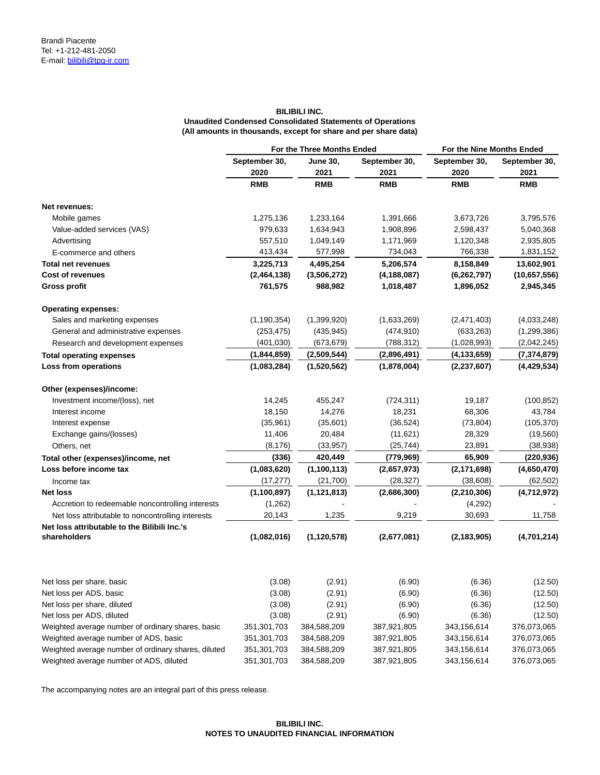### **BILIBILI INC. Unaudited Condensed Consolidated Statements of Operations (All amounts in thousands, except for share and per share data)**

|                                                     |                       | For the Three Months Ended |                       | For the Nine Months Ended |                       |
|-----------------------------------------------------|-----------------------|----------------------------|-----------------------|---------------------------|-----------------------|
|                                                     | September 30,<br>2020 | <b>June 30,</b><br>2021    | September 30,<br>2021 | September 30,<br>2020     | September 30,<br>2021 |
|                                                     |                       |                            |                       |                           |                       |
|                                                     | <b>RMB</b>            | <b>RMB</b>                 | <b>RMB</b>            | <b>RMB</b>                | <b>RMB</b>            |
| Net revenues:                                       |                       |                            |                       |                           |                       |
| Mobile games                                        | 1,275,136             | 1,233,164                  | 1,391,666             | 3,673,726                 | 3,795,576             |
| Value-added services (VAS)                          | 979,633               | 1,634,943                  | 1,908,896             | 2,598,437                 | 5,040,368             |
| Advertising                                         | 557,510               | 1,049,149                  | 1,171,969             | 1,120,348                 | 2,935,805             |
| E-commerce and others                               | 413,434               | 577,998                    | 734,043               | 766,338                   | 1,831,152             |
| <b>Total net revenues</b>                           | 3,225,713             | 4,495,254                  | 5,206,574             | 8,158,849                 | 13,602,901            |
| <b>Cost of revenues</b>                             | (2,464,138)           | (3,506,272)                | (4, 188, 087)         | (6, 262, 797)             | (10, 657, 556)        |
| <b>Gross profit</b>                                 | 761,575               | 988,982                    | 1,018,487             | 1,896,052                 | 2,945,345             |
| <b>Operating expenses:</b>                          |                       |                            |                       |                           |                       |
| Sales and marketing expenses                        | (1, 190, 354)         | (1,399,920)                | (1,633,269)           | (2,471,403)               | (4,033,248)           |
| General and administrative expenses                 | (253, 475)            | (435, 945)                 | (474, 910)            | (633, 263)                | (1, 299, 386)         |
| Research and development expenses                   | (401, 030)            | (673, 679)                 | (788, 312)            | (1,028,993)               | (2,042,245)           |
| <b>Total operating expenses</b>                     | (1,844,859)           | (2,509,544)                | (2,896,491)           | (4, 133, 659)             | (7, 374, 879)         |
| Loss from operations                                | (1,083,284)           | (1,520,562)                | (1,878,004)           | (2, 237, 607)             | (4, 429, 534)         |
| Other (expenses)/income:                            |                       |                            |                       |                           |                       |
| Investment income/(loss), net                       | 14,245                | 455,247                    | (724, 311)            | 19,187                    | (100, 852)            |
| Interest income                                     | 18,150                | 14,276                     | 18,231                | 68,306                    | 43,784                |
| Interest expense                                    | (35,961)              | (35,601)                   | (36, 524)             | (73, 804)                 | (105, 370)            |
| Exchange gains/(losses)                             | 11,406                | 20,484                     | (11,621)              | 28,329                    | (19, 560)             |
| Others, net                                         | (8, 176)              | (33, 957)                  | (25, 744)             | 23,891                    | (38, 938)             |
| Total other (expenses)/income, net                  | (336)                 | 420,449                    | (779, 969)            | 65,909                    | (220, 936)            |
| Loss before income tax                              | (1,083,620)           | (1, 100, 113)              | (2,657,973)           | (2, 171, 698)             | (4,650,470)           |
| Income tax                                          | (17, 277)             | (21,700)                   | (28, 327)             | (38,608)                  | (62, 502)             |
| <b>Net loss</b>                                     | (1, 100, 897)         | (1, 121, 813)              | (2,686,300)           | (2, 210, 306)             | (4,712,972)           |
| Accretion to redeemable noncontrolling interests    | (1,262)               |                            |                       | (4,292)                   |                       |
| Net loss attributable to noncontrolling interests   | 20,143                | 1,235                      | 9,219                 | 30,693                    | 11,758                |
| Net loss attributable to the Bilibili Inc.'s        |                       |                            |                       |                           |                       |
| shareholders                                        | (1,082,016)           | (1, 120, 578)              | (2,677,081)           | (2, 183, 905)             | (4,701,214)           |
|                                                     |                       |                            |                       |                           |                       |
| Net loss per share, basic                           | (3.08)                | (2.91)                     | (6.90)                | (6.36)                    | (12.50)               |
| Net loss per ADS, basic                             | (3.08)                | (2.91)                     | (6.90)                | (6.36)                    | (12.50)               |
| Net loss per share, diluted                         | (3.08)                | (2.91)                     | (6.90)                | (6.36)                    | (12.50)               |
| Net loss per ADS, diluted                           | (3.08)                | (2.91)                     | (6.90)                | (6.36)                    | (12.50)               |
| Weighted average number of ordinary shares, basic   | 351,301,703           | 384,588,209                | 387,921,805           | 343,156,614               | 376,073,065           |
| Weighted average number of ADS, basic               | 351,301,703           | 384,588,209                | 387,921,805           | 343,156,614               | 376,073,065           |
| Weighted average number of ordinary shares, diluted | 351,301,703           | 384,588,209                | 387,921,805           | 343,156,614               | 376,073,065           |
| Weighted average number of ADS, diluted             | 351,301,703           | 384,588,209                | 387,921,805           | 343,156,614               | 376,073,065           |

The accompanying notes are an integral part of this press release.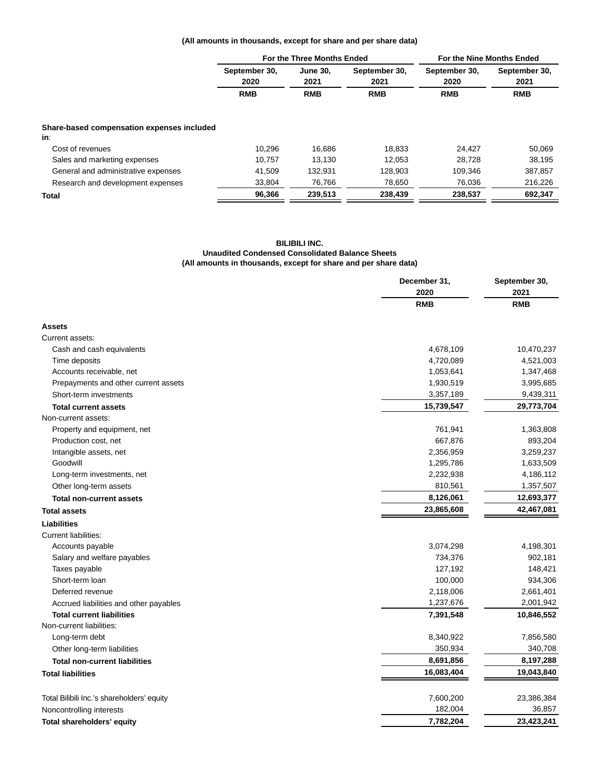## **(All amounts in thousands, except for share and per share data)**

|                                                   | For the Three Months Ended |                         |                       | For the Nine Months Ended |                       |
|---------------------------------------------------|----------------------------|-------------------------|-----------------------|---------------------------|-----------------------|
|                                                   | September 30,<br>2020      | <b>June 30,</b><br>2021 | September 30,<br>2021 | September 30,<br>2020     | September 30,<br>2021 |
|                                                   | <b>RMB</b>                 | <b>RMB</b>              | <b>RMB</b>            | <b>RMB</b>                | <b>RMB</b>            |
| Share-based compensation expenses included<br>in: |                            |                         |                       |                           |                       |
| Cost of revenues                                  | 10.296                     | 16.686                  | 18.833                | 24.427                    | 50.069                |

| Total                               | 96.366 | 239.513 | 238,439 | 238.537     | 692.347 |
|-------------------------------------|--------|---------|---------|-------------|---------|
| Research and development expenses   | 33.804 | 76.766  | 78.650  | 76.036      | 216.226 |
| General and administrative expenses | 41.509 | 132.931 | 128.903 | 109.346     | 387,857 |
| Sales and marketing expenses        | 10.757 | 13.130  | 12.053  | 28.728      | 38.195  |
| ouu u iuvuiuuu                      | 10.60  | 10.000  | 10,000  | <u>____</u> | oo,ooo  |

**in**:

### **BILIBILI INC. Unaudited Condensed Consolidated Balance Sheets (All amounts in thousands, except for share and per share data)**

|                                            | December 31,<br>2020 | September 30,<br>2021<br><b>RMB</b> |  |
|--------------------------------------------|----------------------|-------------------------------------|--|
|                                            | <b>RMB</b>           |                                     |  |
|                                            |                      |                                     |  |
| <b>Assets</b>                              |                      |                                     |  |
| Current assets:                            |                      |                                     |  |
| Cash and cash equivalents                  | 4,678,109            | 10,470,237                          |  |
| Time deposits                              | 4,720,089            | 4,521,003                           |  |
| Accounts receivable, net                   | 1,053,641            | 1,347,468                           |  |
| Prepayments and other current assets       | 1,930,519            | 3,995,685                           |  |
| Short-term investments                     | 3,357,189            | 9,439,311                           |  |
| <b>Total current assets</b>                | 15,739,547           | 29,773,704                          |  |
| Non-current assets:                        |                      |                                     |  |
| Property and equipment, net                | 761,941              | 1,363,808                           |  |
| Production cost, net                       | 667,876              | 893,204                             |  |
| Intangible assets, net                     | 2,356,959            | 3,259,237                           |  |
| Goodwill                                   | 1,295,786            | 1,633,509                           |  |
| Long-term investments, net                 | 2,232,938            | 4,186,112                           |  |
| Other long-term assets                     | 810,561              | 1,357,507                           |  |
| <b>Total non-current assets</b>            | 8,126,061            | 12,693,377                          |  |
| Total assets                               | 23,865,608           | 42,467,081                          |  |
| <b>Liabilities</b>                         |                      |                                     |  |
| Current liabilities:                       |                      |                                     |  |
| Accounts payable                           | 3,074,298            | 4,198,301                           |  |
| Salary and welfare payables                | 734,376              | 902,181                             |  |
| Taxes payable                              | 127,192              | 148,421                             |  |
| Short-term loan                            | 100,000              | 934,306                             |  |
| Deferred revenue                           | 2,118,006            | 2,661,401                           |  |
| Accrued liabilities and other payables     | 1,237,676            | 2,001,942                           |  |
| <b>Total current liabilities</b>           | 7,391,548            | 10,846,552                          |  |
| Non-current liabilities:                   |                      |                                     |  |
| Long-term debt                             | 8,340,922            | 7,856,580                           |  |
| Other long-term liabilities                | 350,934              | 340,708                             |  |
| <b>Total non-current liabilities</b>       | 8,691,856            | 8,197,288                           |  |
| <b>Total liabilities</b>                   | 16,083,404           | 19,043,840                          |  |
| Total Bilibili Inc.'s shareholders' equity | 7,600,200            | 23,386,384                          |  |
| Noncontrolling interests                   | 182,004              | 36,857                              |  |
|                                            | 7,782,204            | 23,423,241                          |  |
| Total shareholders' equity                 |                      |                                     |  |